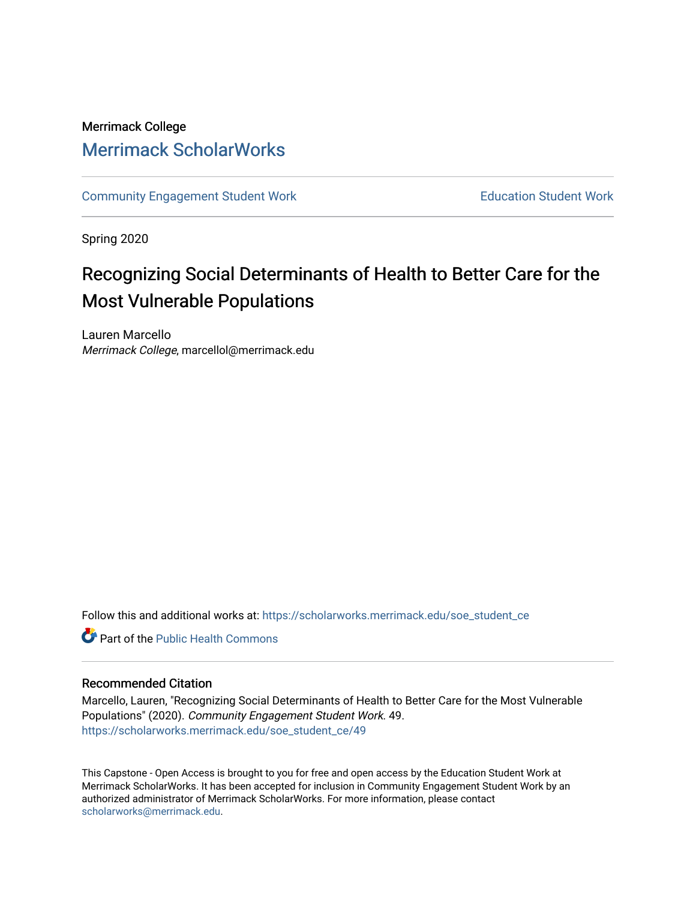# Merrimack College [Merrimack ScholarWorks](https://scholarworks.merrimack.edu/)

[Community Engagement Student Work](https://scholarworks.merrimack.edu/soe_student_ce) **Education Student Work** Education Student Work

Spring 2020

# Recognizing Social Determinants of Health to Better Care for the Most Vulnerable Populations

Lauren Marcello Merrimack College, marcellol@merrimack.edu

Follow this and additional works at: [https://scholarworks.merrimack.edu/soe\\_student\\_ce](https://scholarworks.merrimack.edu/soe_student_ce?utm_source=scholarworks.merrimack.edu%2Fsoe_student_ce%2F49&utm_medium=PDF&utm_campaign=PDFCoverPages) 

Part of the [Public Health Commons](http://network.bepress.com/hgg/discipline/738?utm_source=scholarworks.merrimack.edu%2Fsoe_student_ce%2F49&utm_medium=PDF&utm_campaign=PDFCoverPages) 

### Recommended Citation

Marcello, Lauren, "Recognizing Social Determinants of Health to Better Care for the Most Vulnerable Populations" (2020). Community Engagement Student Work. 49. [https://scholarworks.merrimack.edu/soe\\_student\\_ce/49](https://scholarworks.merrimack.edu/soe_student_ce/49?utm_source=scholarworks.merrimack.edu%2Fsoe_student_ce%2F49&utm_medium=PDF&utm_campaign=PDFCoverPages)

This Capstone - Open Access is brought to you for free and open access by the Education Student Work at Merrimack ScholarWorks. It has been accepted for inclusion in Community Engagement Student Work by an authorized administrator of Merrimack ScholarWorks. For more information, please contact [scholarworks@merrimack.edu](mailto:scholarworks@merrimack.edu).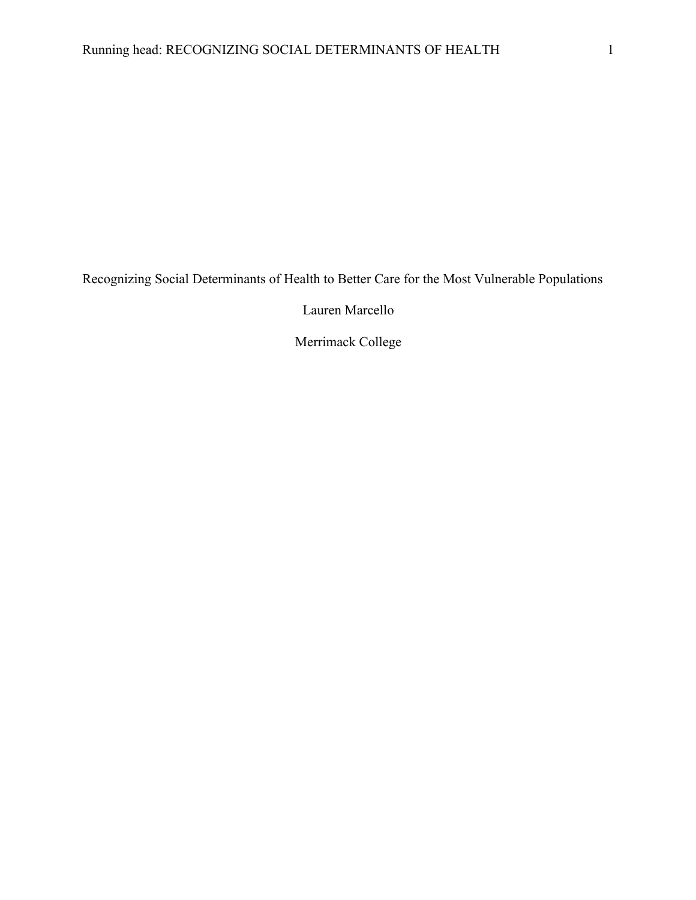Recognizing Social Determinants of Health to Better Care for the Most Vulnerable Populations

Lauren Marcello

Merrimack College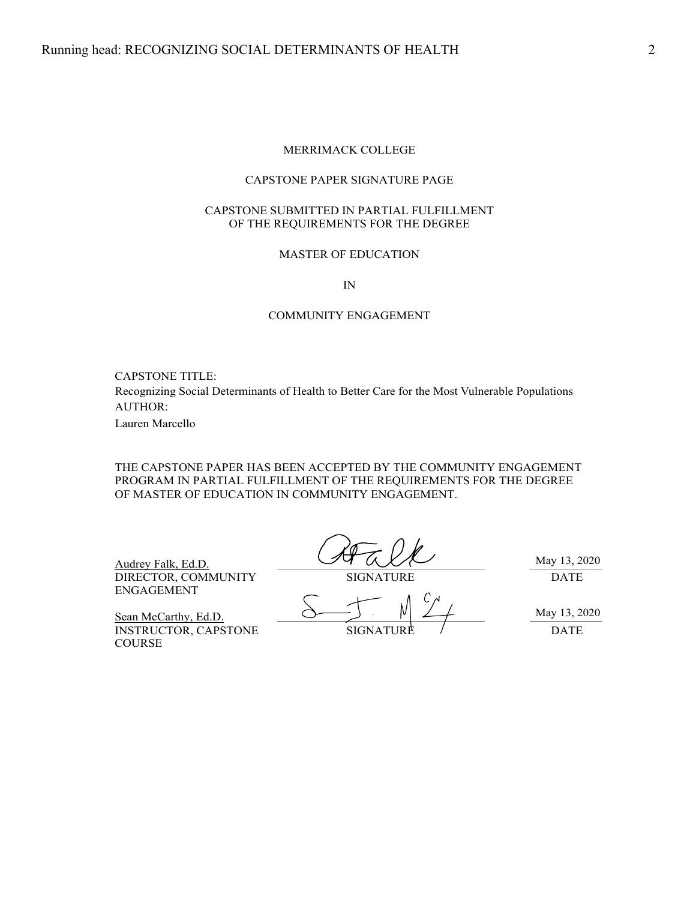### MERRIMACK COLLEGE

### CAPSTONE PAPER SIGNATURE PAGE

#### CAPSTONE SUBMITTED IN PARTIAL FULFILLMENT OF THE REQUIREMENTS FOR THE DEGREE

### MASTER OF EDUCATION

IN

### COMMUNITY ENGAGEMENT

CAPSTONE TITLE:

AUTHOR: Recognizing Social Determinants of Health to Better Care for the Most Vulnerable Populations

Lauren Marcello

THE CAPSTONE PAPER HAS BEEN ACCEPTED BY THE COMMUNITY ENGAGEMENT PROGRAM IN PARTIAL FULFILLMENT OF THE REQUIREMENTS FOR THE DEGREE OF MASTER OF EDUCATION IN COMMUNITY ENGAGEMENT.

Audrey Falk, Ed.D. DIRECTOR, COMMUNITY SIGNATURE DATE ENGAGEMENT

May 13, 2020

INSTRUCTOR, CAPSTONE SIGNATURE / DATE

May 13, 2020

Sean McCarthy, Ed.D.

COURSE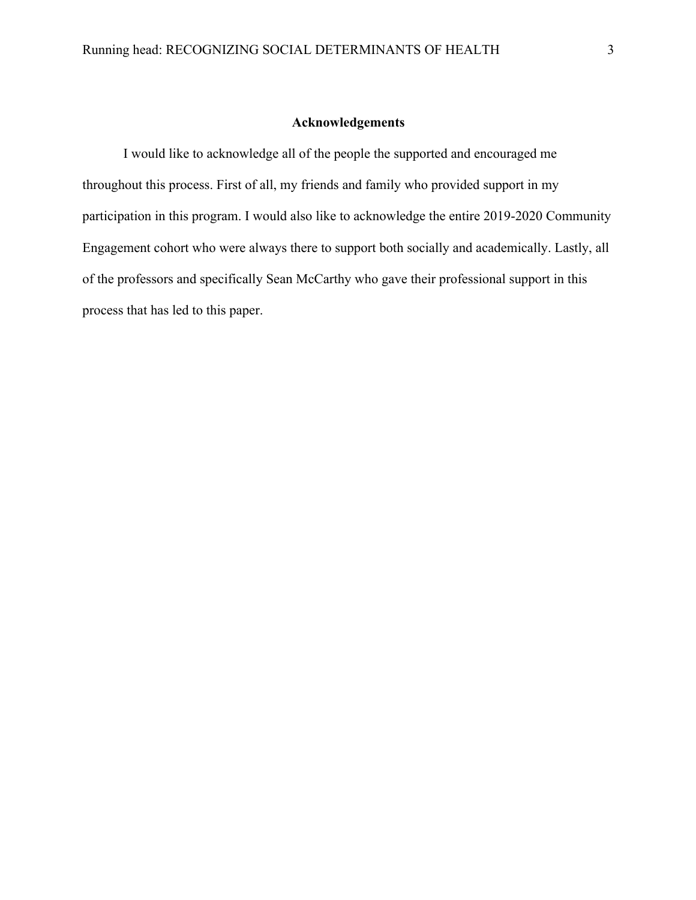### **Acknowledgements**

I would like to acknowledge all of the people the supported and encouraged me throughout this process. First of all, my friends and family who provided support in my participation in this program. I would also like to acknowledge the entire 2019-2020 Community Engagement cohort who were always there to support both socially and academically. Lastly, all of the professors and specifically Sean McCarthy who gave their professional support in this process that has led to this paper.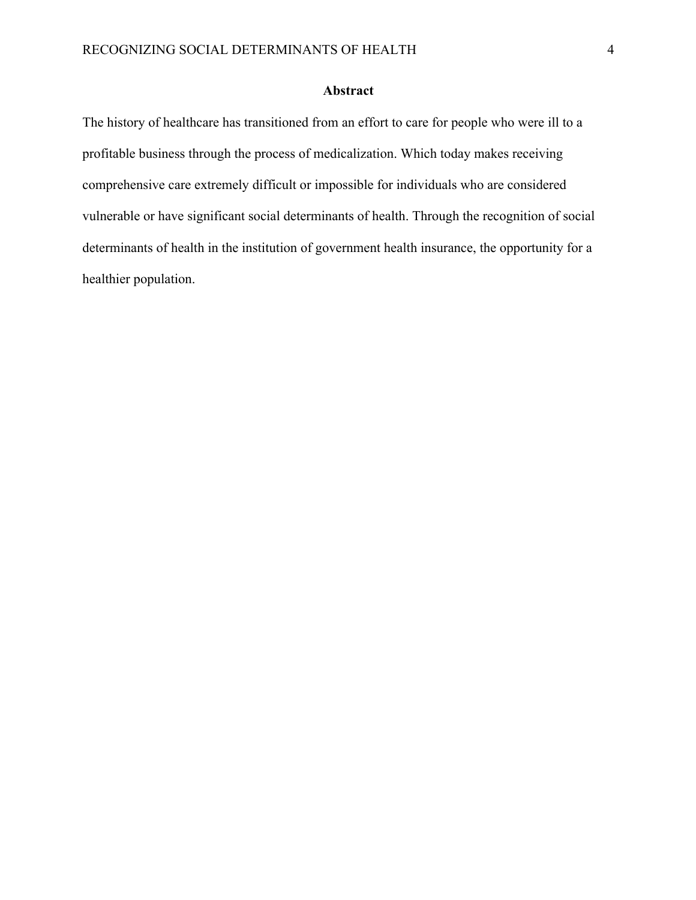### **Abstract**

The history of healthcare has transitioned from an effort to care for people who were ill to a profitable business through the process of medicalization. Which today makes receiving comprehensive care extremely difficult or impossible for individuals who are considered vulnerable or have significant social determinants of health. Through the recognition of social determinants of health in the institution of government health insurance, the opportunity for a healthier population.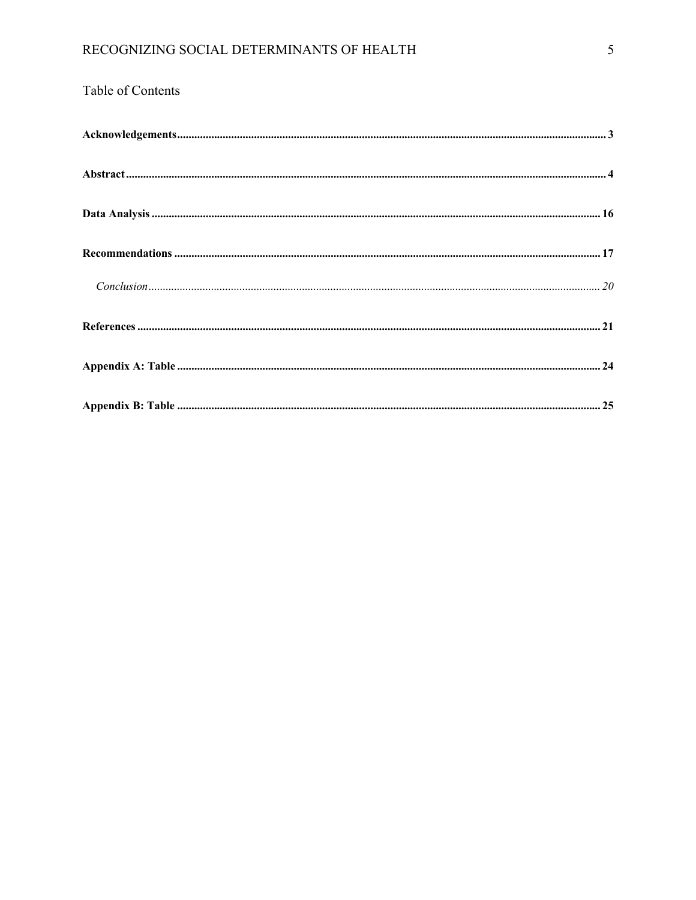# Table of Contents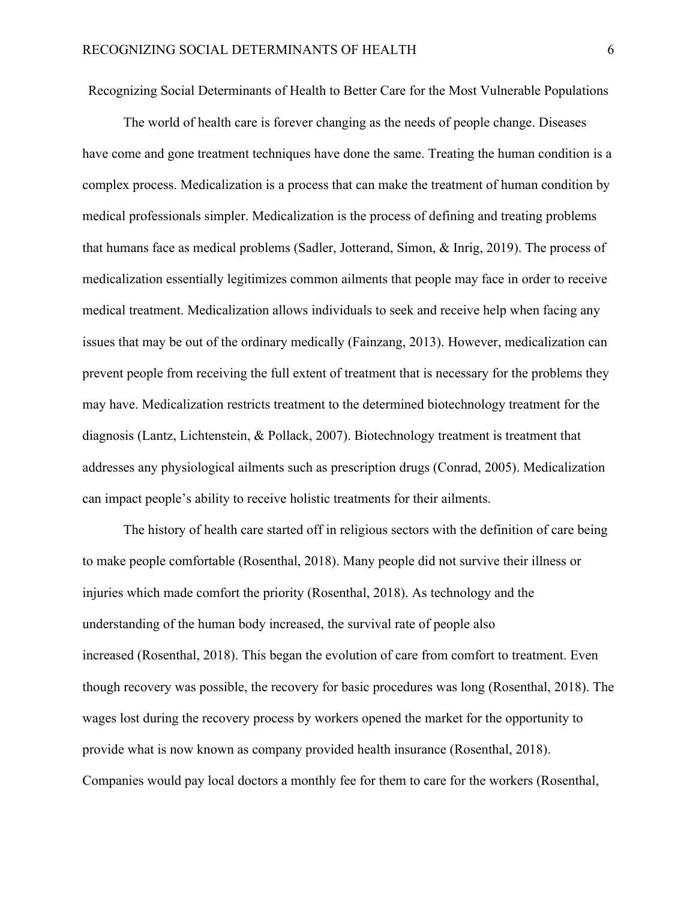Recognizing Social Determinants of Health to Better Care for the Most Vulnerable Populations

The world of health care is forever changing as the needs of people change. Diseases have come and gone treatment techniques have done the same. Treating the human condition is a complex process. Medicalization is a process that can make the treatment of human condition by medical professionals simpler. Medicalization is the process of defining and treating problems that humans face as medical problems (Sadler, Jotterand, Simon, & Inrig, 2019). The process of medicalization essentially legitimizes common ailments that people may face in order to receive medical treatment. Medicalization allows individuals to seek and receive help when facing any issues that may be out of the ordinary medically (Fainzang, 2013). However, medicalization can prevent people from receiving the full extent of treatment that is necessary for the problems they may have. Medicalization restricts treatment to the determined biotechnology treatment for the diagnosis (Lantz, Lichtenstein, & Pollack, 2007). Biotechnology treatment is treatment that addresses any physiological ailments such as prescription drugs (Conrad, 2005). Medicalization can impact people's ability to receive holistic treatments for their ailments.

The history of health care started off in religious sectors with the definition of care being to make people comfortable (Rosenthal, 2018). Many people did not survive their illness or injuries which made comfort the priority (Rosenthal, 2018). As technology and the understanding of the human body increased, the survival rate of people also increased (Rosenthal, 2018). This began the evolution of care from comfort to treatment. Even though recovery was possible, the recovery for basic procedures was long (Rosenthal, 2018). The wages lost during the recovery process by workers opened the market for the opportunity to provide what is now known as company provided health insurance (Rosenthal, 2018). Companies would pay local doctors a monthly fee for them to care for the workers (Rosenthal,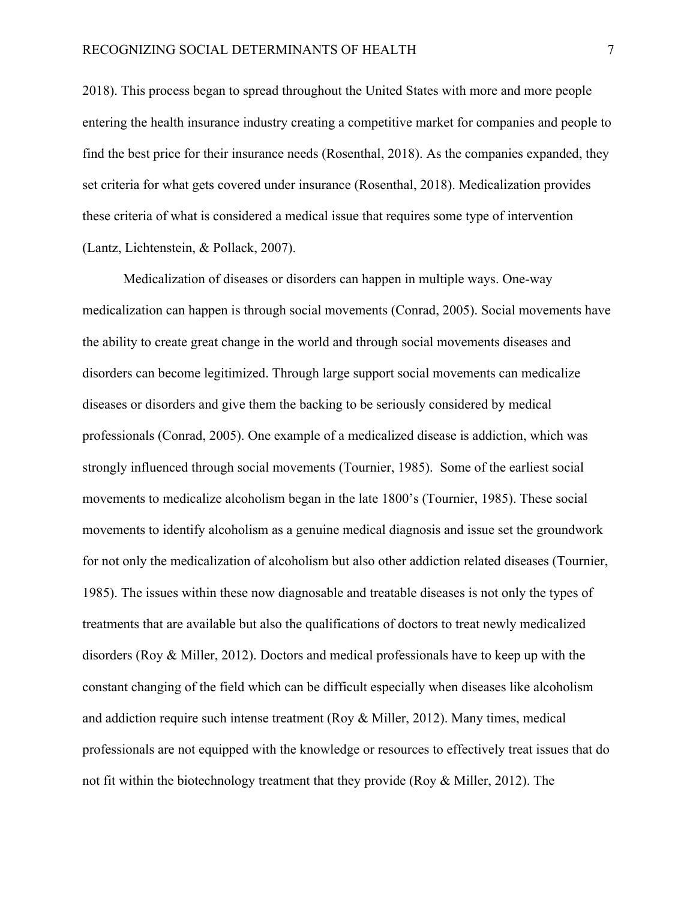2018). This process began to spread throughout the United States with more and more people entering the health insurance industry creating a competitive market for companies and people to find the best price for their insurance needs (Rosenthal, 2018). As the companies expanded, they set criteria for what gets covered under insurance (Rosenthal, 2018). Medicalization provides these criteria of what is considered a medical issue that requires some type of intervention (Lantz, Lichtenstein, & Pollack, 2007).

Medicalization of diseases or disorders can happen in multiple ways. One-way medicalization can happen is through social movements (Conrad, 2005). Social movements have the ability to create great change in the world and through social movements diseases and disorders can become legitimized. Through large support social movements can medicalize diseases or disorders and give them the backing to be seriously considered by medical professionals (Conrad, 2005). One example of a medicalized disease is addiction, which was strongly influenced through social movements (Tournier, 1985). Some of the earliest social movements to medicalize alcoholism began in the late 1800's (Tournier, 1985). These social movements to identify alcoholism as a genuine medical diagnosis and issue set the groundwork for not only the medicalization of alcoholism but also other addiction related diseases (Tournier, 1985). The issues within these now diagnosable and treatable diseases is not only the types of treatments that are available but also the qualifications of doctors to treat newly medicalized disorders (Roy & Miller, 2012). Doctors and medical professionals have to keep up with the constant changing of the field which can be difficult especially when diseases like alcoholism and addiction require such intense treatment (Roy & Miller, 2012). Many times, medical professionals are not equipped with the knowledge or resources to effectively treat issues that do not fit within the biotechnology treatment that they provide (Roy & Miller, 2012). The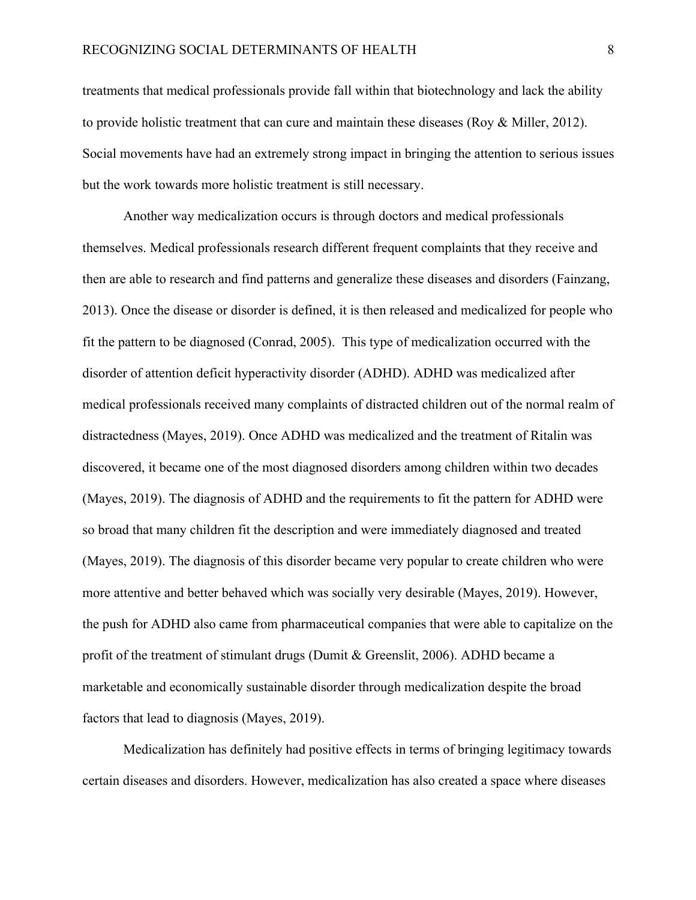treatments that medical professionals provide fall within that biotechnology and lack the ability to provide holistic treatment that can cure and maintain these diseases (Roy & Miller, 2012). Social movements have had an extremely strong impact in bringing the attention to serious issues but the work towards more holistic treatment is still necessary.

Another way medicalization occurs is through doctors and medical professionals themselves. Medical professionals research different frequent complaints that they receive and then are able to research and find patterns and generalize these diseases and disorders (Fainzang, 2013). Once the disease or disorder is defined, it is then released and medicalized for people who fit the pattern to be diagnosed (Conrad, 2005). This type of medicalization occurred with the disorder of attention deficit hyperactivity disorder (ADHD). ADHD was medicalized after medical professionals received many complaints of distracted children out of the normal realm of distractedness (Mayes, 2019). Once ADHD was medicalized and the treatment of Ritalin was discovered, it became one of the most diagnosed disorders among children within two decades (Mayes, 2019). The diagnosis of ADHD and the requirements to fit the pattern for ADHD were so broad that many children fit the description and were immediately diagnosed and treated (Mayes, 2019). The diagnosis of this disorder became very popular to create children who were more attentive and better behaved which was socially very desirable (Mayes, 2019). However, the push for ADHD also came from pharmaceutical companies that were able to capitalize on the profit of the treatment of stimulant drugs (Dumit & Greenslit, 2006). ADHD became a marketable and economically sustainable disorder through medicalization despite the broad factors that lead to diagnosis (Mayes, 2019).

Medicalization has definitely had positive effects in terms of bringing legitimacy towards certain diseases and disorders. However, medicalization has also created a space where diseases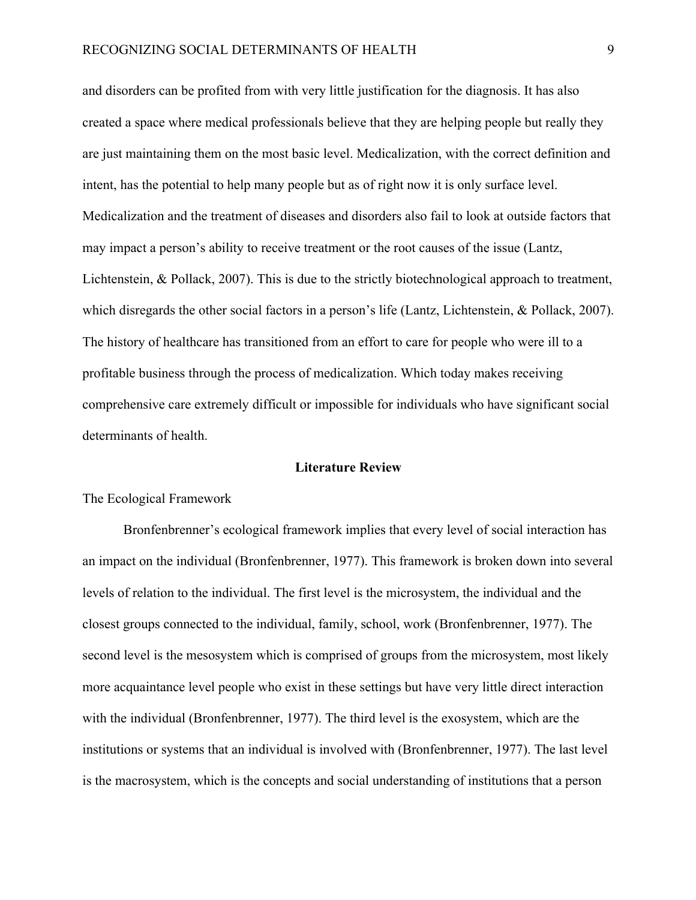and disorders can be profited from with very little justification for the diagnosis. It has also created a space where medical professionals believe that they are helping people but really they are just maintaining them on the most basic level. Medicalization, with the correct definition and intent, has the potential to help many people but as of right now it is only surface level. Medicalization and the treatment of diseases and disorders also fail to look at outside factors that may impact a person's ability to receive treatment or the root causes of the issue (Lantz, Lichtenstein, & Pollack, 2007). This is due to the strictly biotechnological approach to treatment, which disregards the other social factors in a person's life (Lantz, Lichtenstein, & Pollack, 2007). The history of healthcare has transitioned from an effort to care for people who were ill to a profitable business through the process of medicalization. Which today makes receiving comprehensive care extremely difficult or impossible for individuals who have significant social determinants of health.

### **Literature Review**

### The Ecological Framework

Bronfenbrenner's ecological framework implies that every level of social interaction has an impact on the individual (Bronfenbrenner, 1977). This framework is broken down into several levels of relation to the individual. The first level is the microsystem, the individual and the closest groups connected to the individual, family, school, work (Bronfenbrenner, 1977). The second level is the mesosystem which is comprised of groups from the microsystem, most likely more acquaintance level people who exist in these settings but have very little direct interaction with the individual (Bronfenbrenner, 1977). The third level is the exosystem, which are the institutions or systems that an individual is involved with (Bronfenbrenner, 1977). The last level is the macrosystem, which is the concepts and social understanding of institutions that a person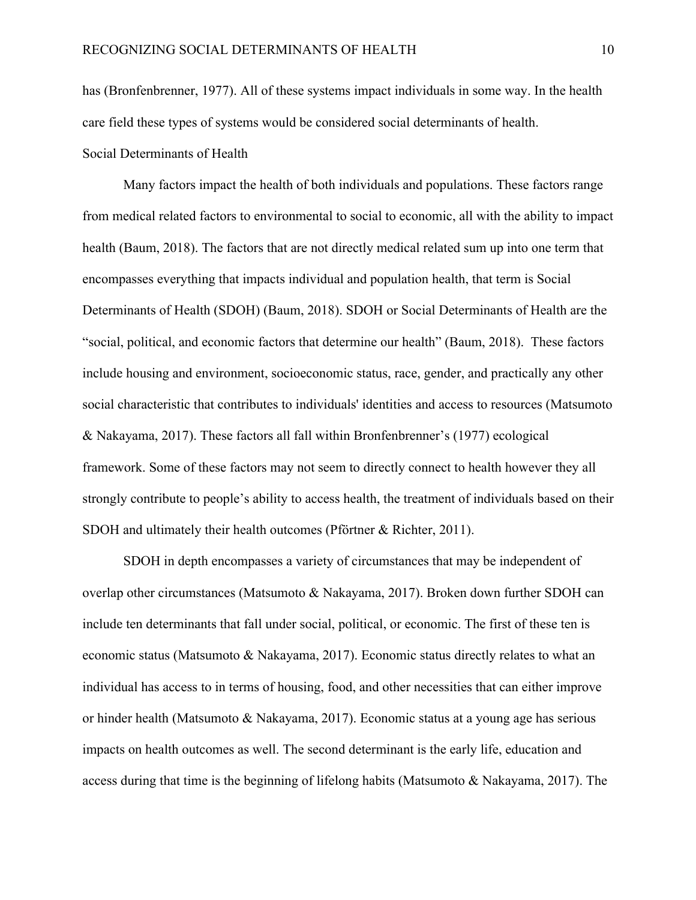has (Bronfenbrenner, 1977). All of these systems impact individuals in some way. In the health care field these types of systems would be considered social determinants of health. Social Determinants of Health

Many factors impact the health of both individuals and populations. These factors range from medical related factors to environmental to social to economic, all with the ability to impact health (Baum, 2018). The factors that are not directly medical related sum up into one term that encompasses everything that impacts individual and population health, that term is Social Determinants of Health (SDOH) (Baum, 2018). SDOH or Social Determinants of Health are the "social, political, and economic factors that determine our health" (Baum, 2018). These factors include housing and environment, socioeconomic status, race, gender, and practically any other social characteristic that contributes to individuals' identities and access to resources (Matsumoto & Nakayama, 2017). These factors all fall within Bronfenbrenner's (1977) ecological framework. Some of these factors may not seem to directly connect to health however they all strongly contribute to people's ability to access health, the treatment of individuals based on their SDOH and ultimately their health outcomes (Pförtner & Richter, 2011).

SDOH in depth encompasses a variety of circumstances that may be independent of overlap other circumstances (Matsumoto & Nakayama, 2017). Broken down further SDOH can include ten determinants that fall under social, political, or economic. The first of these ten is economic status (Matsumoto & Nakayama, 2017). Economic status directly relates to what an individual has access to in terms of housing, food, and other necessities that can either improve or hinder health (Matsumoto & Nakayama, 2017). Economic status at a young age has serious impacts on health outcomes as well. The second determinant is the early life, education and access during that time is the beginning of lifelong habits (Matsumoto & Nakayama, 2017). The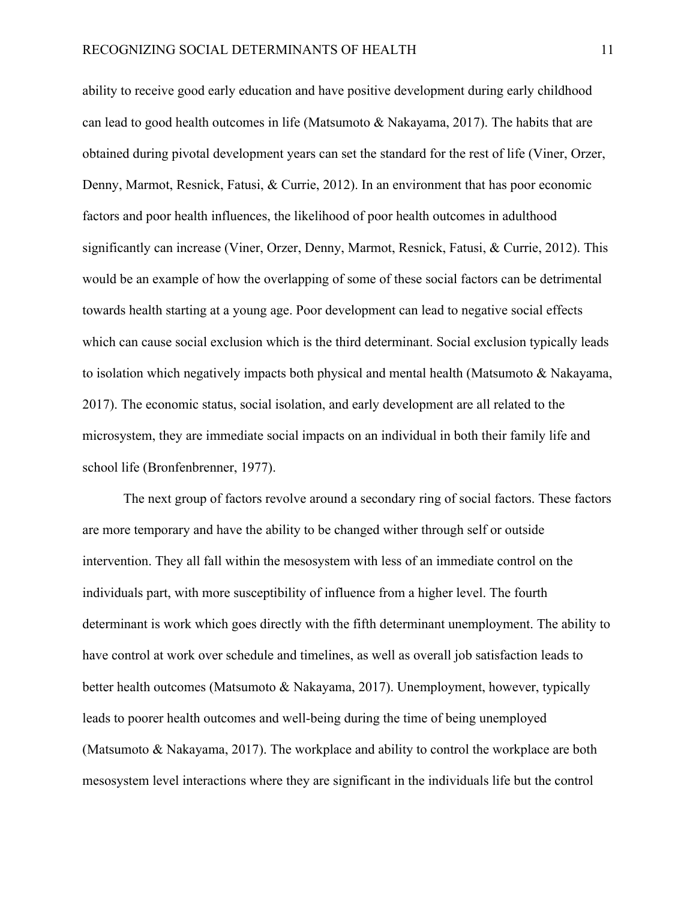ability to receive good early education and have positive development during early childhood can lead to good health outcomes in life (Matsumoto & Nakayama, 2017). The habits that are obtained during pivotal development years can set the standard for the rest of life (Viner, Orzer, Denny, Marmot, Resnick, Fatusi, & Currie, 2012). In an environment that has poor economic factors and poor health influences, the likelihood of poor health outcomes in adulthood significantly can increase (Viner, Orzer, Denny, Marmot, Resnick, Fatusi, & Currie, 2012). This would be an example of how the overlapping of some of these social factors can be detrimental towards health starting at a young age. Poor development can lead to negative social effects which can cause social exclusion which is the third determinant. Social exclusion typically leads to isolation which negatively impacts both physical and mental health (Matsumoto & Nakayama, 2017). The economic status, social isolation, and early development are all related to the microsystem, they are immediate social impacts on an individual in both their family life and school life (Bronfenbrenner, 1977).

The next group of factors revolve around a secondary ring of social factors. These factors are more temporary and have the ability to be changed wither through self or outside intervention. They all fall within the mesosystem with less of an immediate control on the individuals part, with more susceptibility of influence from a higher level. The fourth determinant is work which goes directly with the fifth determinant unemployment. The ability to have control at work over schedule and timelines, as well as overall job satisfaction leads to better health outcomes (Matsumoto & Nakayama, 2017). Unemployment, however, typically leads to poorer health outcomes and well-being during the time of being unemployed (Matsumoto & Nakayama, 2017). The workplace and ability to control the workplace are both mesosystem level interactions where they are significant in the individuals life but the control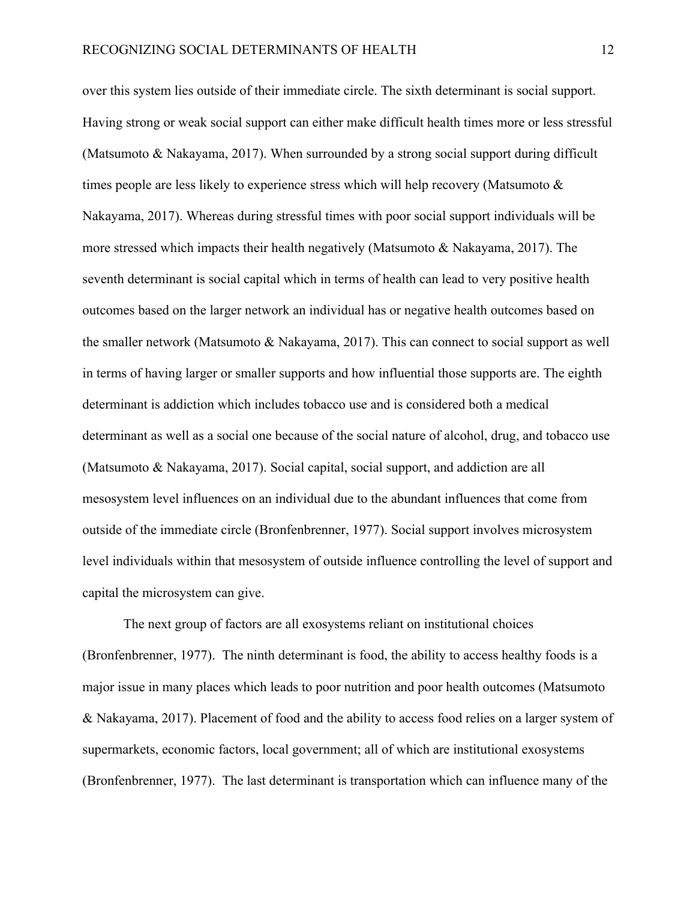over this system lies outside of their immediate circle. The sixth determinant is social support. Having strong or weak social support can either make difficult health times more or less stressful (Matsumoto & Nakayama, 2017). When surrounded by a strong social support during difficult times people are less likely to experience stress which will help recovery (Matsumoto & Nakayama, 2017). Whereas during stressful times with poor social support individuals will be more stressed which impacts their health negatively (Matsumoto & Nakayama, 2017). The seventh determinant is social capital which in terms of health can lead to very positive health outcomes based on the larger network an individual has or negative health outcomes based on the smaller network (Matsumoto & Nakayama, 2017). This can connect to social support as well in terms of having larger or smaller supports and how influential those supports are. The eighth determinant is addiction which includes tobacco use and is considered both a medical determinant as well as a social one because of the social nature of alcohol, drug, and tobacco use (Matsumoto & Nakayama, 2017). Social capital, social support, and addiction are all mesosystem level influences on an individual due to the abundant influences that come from outside of the immediate circle (Bronfenbrenner, 1977). Social support involves microsystem level individuals within that mesosystem of outside influence controlling the level of support and capital the microsystem can give.

The next group of factors are all exosystems reliant on institutional choices (Bronfenbrenner, 1977). The ninth determinant is food, the ability to access healthy foods is a major issue in many places which leads to poor nutrition and poor health outcomes (Matsumoto & Nakayama, 2017). Placement of food and the ability to access food relies on a larger system of supermarkets, economic factors, local government; all of which are institutional exosystems (Bronfenbrenner, 1977). The last determinant is transportation which can influence many of the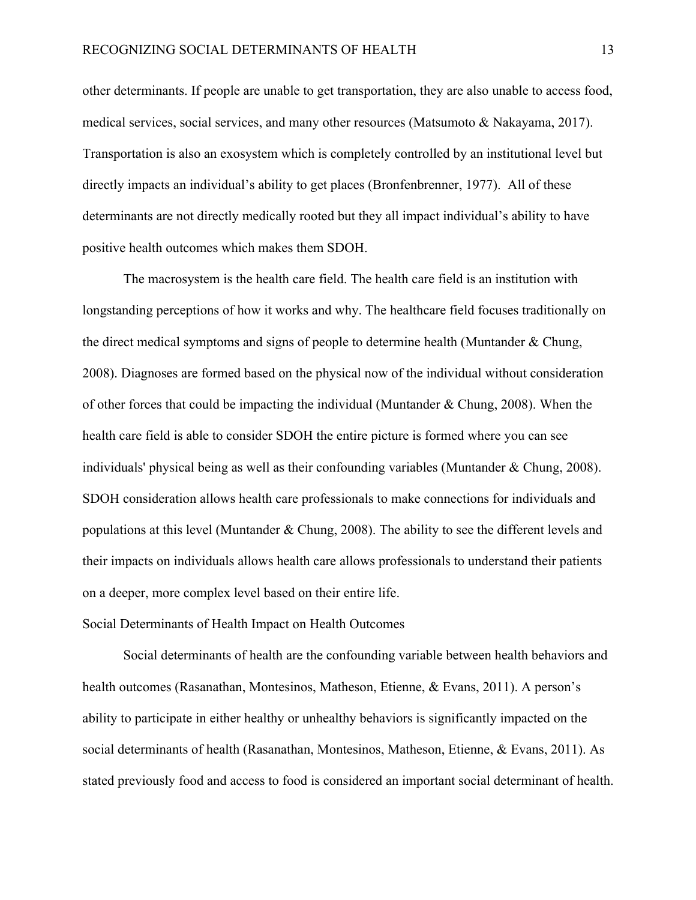other determinants. If people are unable to get transportation, they are also unable to access food, medical services, social services, and many other resources (Matsumoto & Nakayama, 2017). Transportation is also an exosystem which is completely controlled by an institutional level but directly impacts an individual's ability to get places (Bronfenbrenner, 1977). All of these determinants are not directly medically rooted but they all impact individual's ability to have positive health outcomes which makes them SDOH.

The macrosystem is the health care field. The health care field is an institution with longstanding perceptions of how it works and why. The healthcare field focuses traditionally on the direct medical symptoms and signs of people to determine health (Muntander & Chung, 2008). Diagnoses are formed based on the physical now of the individual without consideration of other forces that could be impacting the individual (Muntander & Chung, 2008). When the health care field is able to consider SDOH the entire picture is formed where you can see individuals' physical being as well as their confounding variables (Muntander & Chung, 2008). SDOH consideration allows health care professionals to make connections for individuals and populations at this level (Muntander & Chung, 2008). The ability to see the different levels and their impacts on individuals allows health care allows professionals to understand their patients on a deeper, more complex level based on their entire life.

Social Determinants of Health Impact on Health Outcomes

Social determinants of health are the confounding variable between health behaviors and health outcomes (Rasanathan, Montesinos, Matheson, Etienne, & Evans, 2011). A person's ability to participate in either healthy or unhealthy behaviors is significantly impacted on the social determinants of health (Rasanathan, Montesinos, Matheson, Etienne, & Evans, 2011). As stated previously food and access to food is considered an important social determinant of health.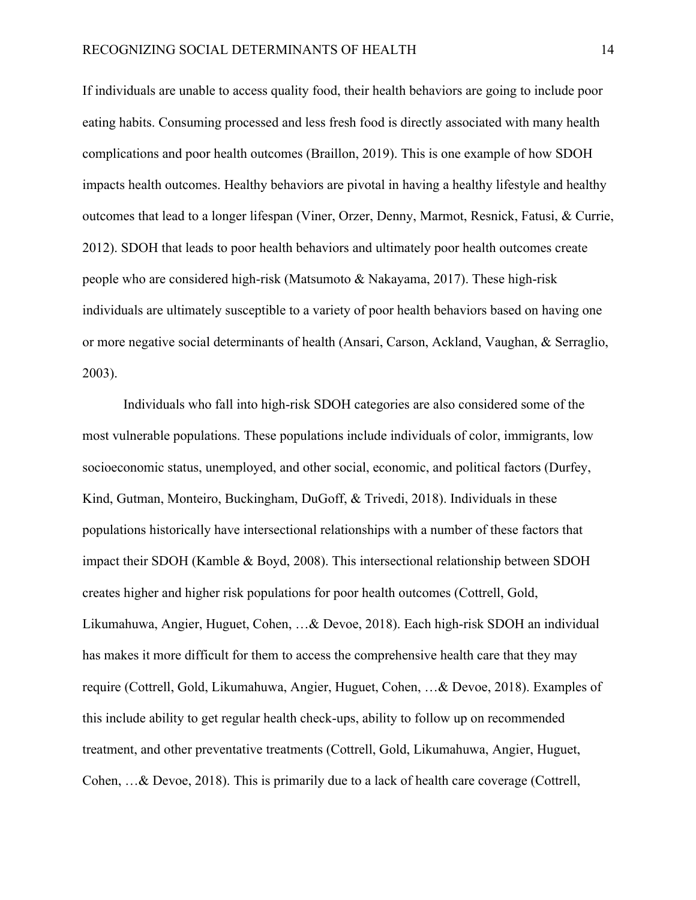If individuals are unable to access quality food, their health behaviors are going to include poor eating habits. Consuming processed and less fresh food is directly associated with many health complications and poor health outcomes (Braillon, 2019). This is one example of how SDOH impacts health outcomes. Healthy behaviors are pivotal in having a healthy lifestyle and healthy outcomes that lead to a longer lifespan (Viner, Orzer, Denny, Marmot, Resnick, Fatusi, & Currie, 2012). SDOH that leads to poor health behaviors and ultimately poor health outcomes create people who are considered high-risk (Matsumoto & Nakayama, 2017). These high-risk individuals are ultimately susceptible to a variety of poor health behaviors based on having one or more negative social determinants of health (Ansari, Carson, Ackland, Vaughan, & Serraglio, 2003).

Individuals who fall into high-risk SDOH categories are also considered some of the most vulnerable populations. These populations include individuals of color, immigrants, low socioeconomic status, unemployed, and other social, economic, and political factors (Durfey, Kind, Gutman, Monteiro, Buckingham, DuGoff, & Trivedi, 2018). Individuals in these populations historically have intersectional relationships with a number of these factors that impact their SDOH (Kamble & Boyd, 2008). This intersectional relationship between SDOH creates higher and higher risk populations for poor health outcomes (Cottrell, Gold, Likumahuwa, Angier, Huguet, Cohen, …& Devoe, 2018). Each high-risk SDOH an individual has makes it more difficult for them to access the comprehensive health care that they may require (Cottrell, Gold, Likumahuwa, Angier, Huguet, Cohen, …& Devoe, 2018). Examples of this include ability to get regular health check-ups, ability to follow up on recommended treatment, and other preventative treatments (Cottrell, Gold, Likumahuwa, Angier, Huguet, Cohen, …& Devoe, 2018). This is primarily due to a lack of health care coverage (Cottrell,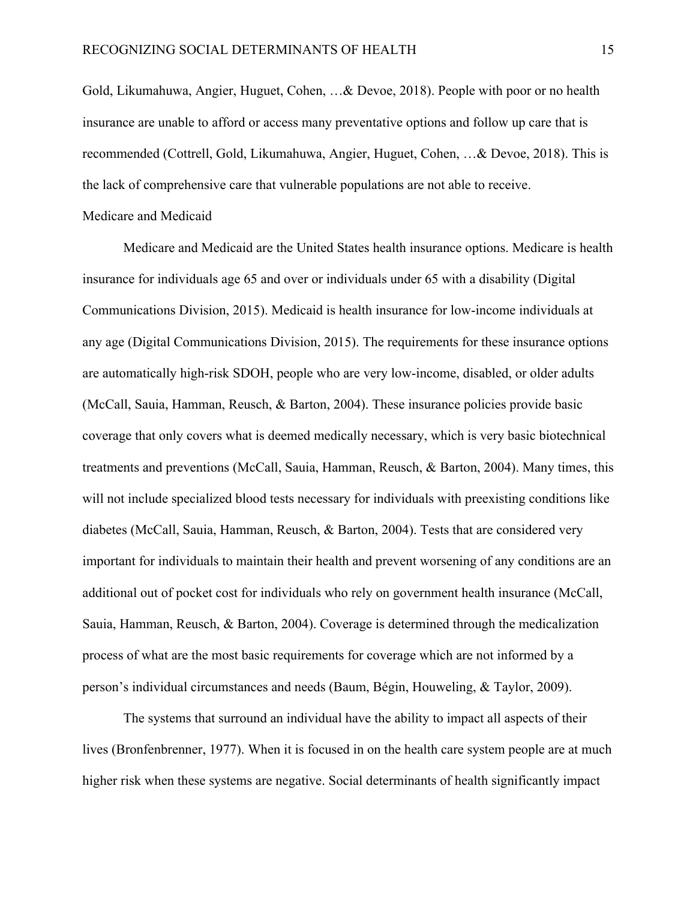Gold, Likumahuwa, Angier, Huguet, Cohen, …& Devoe, 2018). People with poor or no health insurance are unable to afford or access many preventative options and follow up care that is recommended (Cottrell, Gold, Likumahuwa, Angier, Huguet, Cohen, …& Devoe, 2018). This is the lack of comprehensive care that vulnerable populations are not able to receive.

### Medicare and Medicaid

Medicare and Medicaid are the United States health insurance options. Medicare is health insurance for individuals age 65 and over or individuals under 65 with a disability (Digital Communications Division, 2015). Medicaid is health insurance for low-income individuals at any age (Digital Communications Division, 2015). The requirements for these insurance options are automatically high-risk SDOH, people who are very low-income, disabled, or older adults (McCall, Sauia, Hamman, Reusch, & Barton, 2004). These insurance policies provide basic coverage that only covers what is deemed medically necessary, which is very basic biotechnical treatments and preventions (McCall, Sauia, Hamman, Reusch, & Barton, 2004). Many times, this will not include specialized blood tests necessary for individuals with preexisting conditions like diabetes (McCall, Sauia, Hamman, Reusch, & Barton, 2004). Tests that are considered very important for individuals to maintain their health and prevent worsening of any conditions are an additional out of pocket cost for individuals who rely on government health insurance (McCall, Sauia, Hamman, Reusch, & Barton, 2004). Coverage is determined through the medicalization process of what are the most basic requirements for coverage which are not informed by a person's individual circumstances and needs (Baum, Bégin, Houweling, & Taylor, 2009).

The systems that surround an individual have the ability to impact all aspects of their lives (Bronfenbrenner, 1977). When it is focused in on the health care system people are at much higher risk when these systems are negative. Social determinants of health significantly impact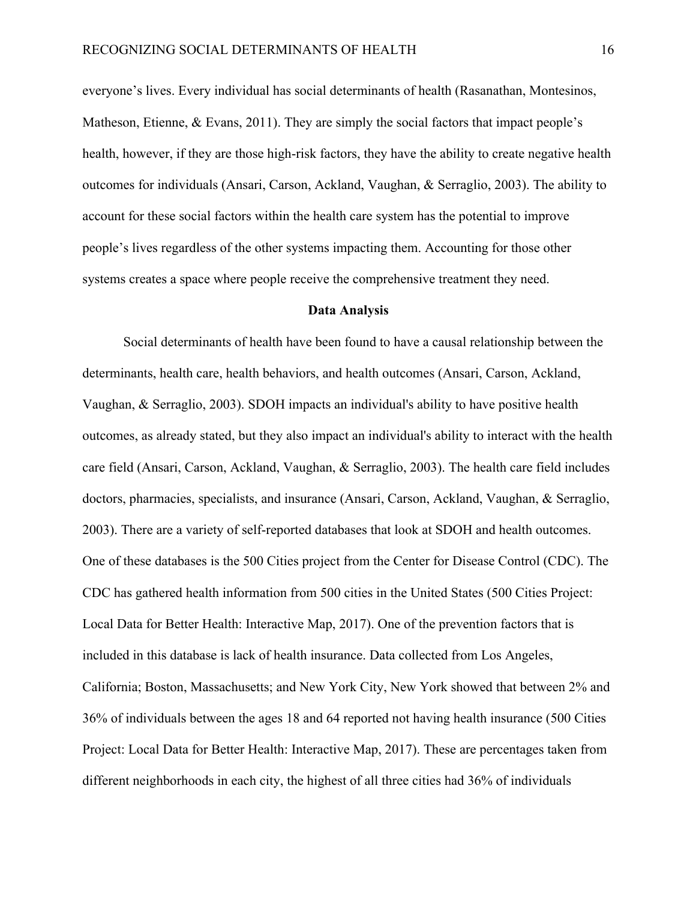everyone's lives. Every individual has social determinants of health (Rasanathan, Montesinos, Matheson, Etienne, & Evans, 2011). They are simply the social factors that impact people's health, however, if they are those high-risk factors, they have the ability to create negative health outcomes for individuals (Ansari, Carson, Ackland, Vaughan, & Serraglio, 2003). The ability to account for these social factors within the health care system has the potential to improve people's lives regardless of the other systems impacting them. Accounting for those other systems creates a space where people receive the comprehensive treatment they need.

#### **Data Analysis**

Social determinants of health have been found to have a causal relationship between the determinants, health care, health behaviors, and health outcomes (Ansari, Carson, Ackland, Vaughan, & Serraglio, 2003). SDOH impacts an individual's ability to have positive health outcomes, as already stated, but they also impact an individual's ability to interact with the health care field (Ansari, Carson, Ackland, Vaughan, & Serraglio, 2003). The health care field includes doctors, pharmacies, specialists, and insurance (Ansari, Carson, Ackland, Vaughan, & Serraglio, 2003). There are a variety of self-reported databases that look at SDOH and health outcomes. One of these databases is the 500 Cities project from the Center for Disease Control (CDC). The CDC has gathered health information from 500 cities in the United States (500 Cities Project: Local Data for Better Health: Interactive Map, 2017). One of the prevention factors that is included in this database is lack of health insurance. Data collected from Los Angeles, California; Boston, Massachusetts; and New York City, New York showed that between 2% and 36% of individuals between the ages 18 and 64 reported not having health insurance (500 Cities Project: Local Data for Better Health: Interactive Map, 2017). These are percentages taken from different neighborhoods in each city, the highest of all three cities had 36% of individuals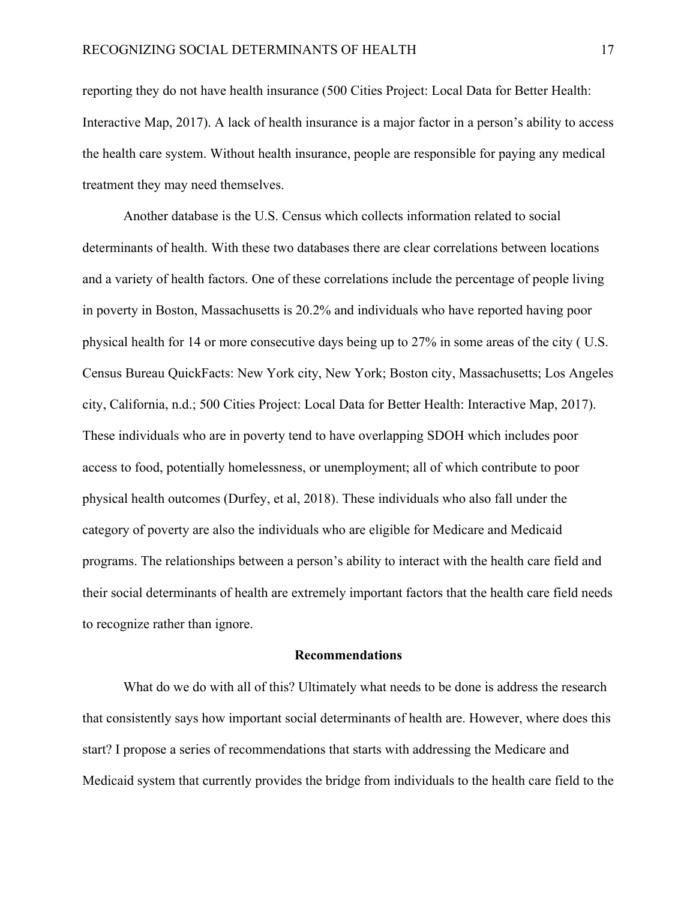reporting they do not have health insurance (500 Cities Project: Local Data for Better Health: Interactive Map, 2017). A lack of health insurance is a major factor in a person's ability to access the health care system. Without health insurance, people are responsible for paying any medical treatment they may need themselves.

Another database is the U.S. Census which collects information related to social determinants of health. With these two databases there are clear correlations between locations and a variety of health factors. One of these correlations include the percentage of people living in poverty in Boston, Massachusetts is 20.2% and individuals who have reported having poor physical health for 14 or more consecutive days being up to 27% in some areas of the city ( U.S. Census Bureau QuickFacts: New York city, New York; Boston city, Massachusetts; Los Angeles city, California, n.d.; 500 Cities Project: Local Data for Better Health: Interactive Map, 2017). These individuals who are in poverty tend to have overlapping SDOH which includes poor access to food, potentially homelessness, or unemployment; all of which contribute to poor physical health outcomes (Durfey, et al, 2018). These individuals who also fall under the category of poverty are also the individuals who are eligible for Medicare and Medicaid programs. The relationships between a person's ability to interact with the health care field and their social determinants of health are extremely important factors that the health care field needs to recognize rather than ignore.

### **Recommendations**

What do we do with all of this? Ultimately what needs to be done is address the research that consistently says how important social determinants of health are. However, where does this start? I propose a series of recommendations that starts with addressing the Medicare and Medicaid system that currently provides the bridge from individuals to the health care field to the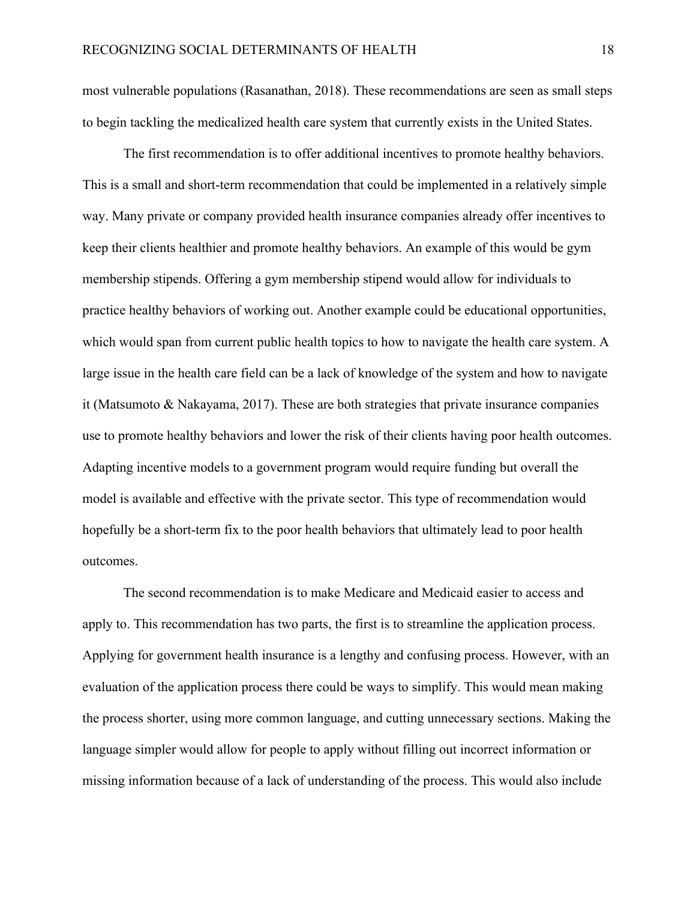most vulnerable populations (Rasanathan, 2018). These recommendations are seen as small steps to begin tackling the medicalized health care system that currently exists in the United States.

The first recommendation is to offer additional incentives to promote healthy behaviors. This is a small and short-term recommendation that could be implemented in a relatively simple way. Many private or company provided health insurance companies already offer incentives to keep their clients healthier and promote healthy behaviors. An example of this would be gym membership stipends. Offering a gym membership stipend would allow for individuals to practice healthy behaviors of working out. Another example could be educational opportunities, which would span from current public health topics to how to navigate the health care system. A large issue in the health care field can be a lack of knowledge of the system and how to navigate it (Matsumoto & Nakayama, 2017). These are both strategies that private insurance companies use to promote healthy behaviors and lower the risk of their clients having poor health outcomes. Adapting incentive models to a government program would require funding but overall the model is available and effective with the private sector. This type of recommendation would hopefully be a short-term fix to the poor health behaviors that ultimately lead to poor health outcomes.

The second recommendation is to make Medicare and Medicaid easier to access and apply to. This recommendation has two parts, the first is to streamline the application process. Applying for government health insurance is a lengthy and confusing process. However, with an evaluation of the application process there could be ways to simplify. This would mean making the process shorter, using more common language, and cutting unnecessary sections. Making the language simpler would allow for people to apply without filling out incorrect information or missing information because of a lack of understanding of the process. This would also include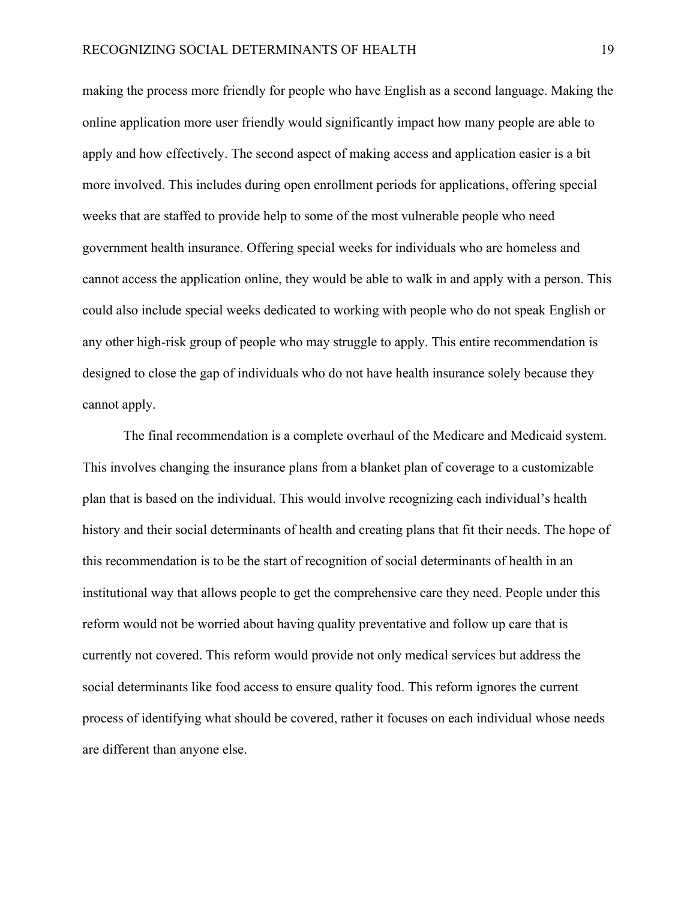making the process more friendly for people who have English as a second language. Making the online application more user friendly would significantly impact how many people are able to apply and how effectively. The second aspect of making access and application easier is a bit more involved. This includes during open enrollment periods for applications, offering special weeks that are staffed to provide help to some of the most vulnerable people who need government health insurance. Offering special weeks for individuals who are homeless and cannot access the application online, they would be able to walk in and apply with a person. This could also include special weeks dedicated to working with people who do not speak English or any other high-risk group of people who may struggle to apply. This entire recommendation is designed to close the gap of individuals who do not have health insurance solely because they cannot apply.

The final recommendation is a complete overhaul of the Medicare and Medicaid system. This involves changing the insurance plans from a blanket plan of coverage to a customizable plan that is based on the individual. This would involve recognizing each individual's health history and their social determinants of health and creating plans that fit their needs. The hope of this recommendation is to be the start of recognition of social determinants of health in an institutional way that allows people to get the comprehensive care they need. People under this reform would not be worried about having quality preventative and follow up care that is currently not covered. This reform would provide not only medical services but address the social determinants like food access to ensure quality food. This reform ignores the current process of identifying what should be covered, rather it focuses on each individual whose needs are different than anyone else.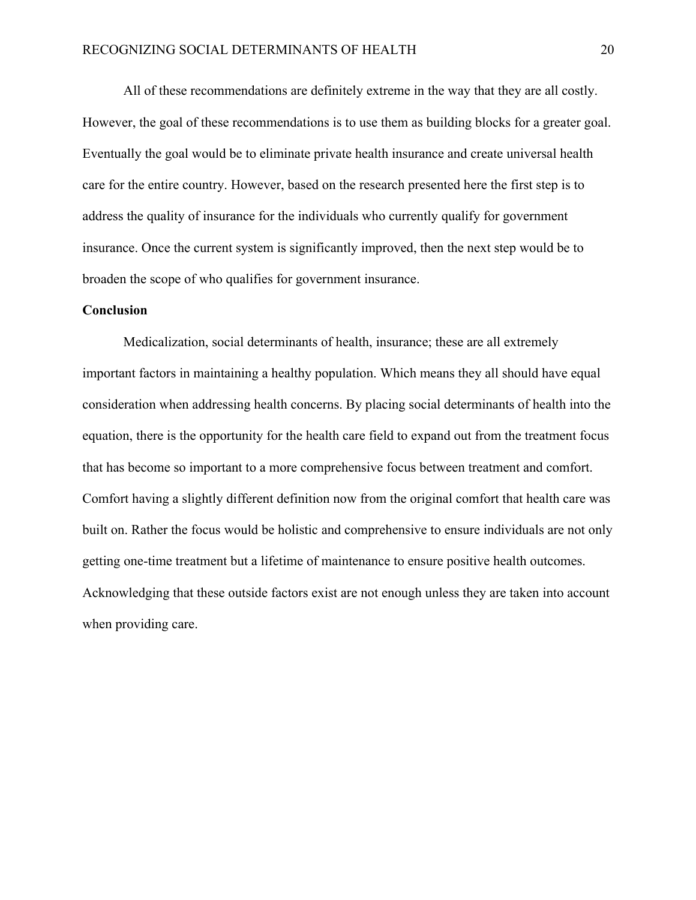All of these recommendations are definitely extreme in the way that they are all costly. However, the goal of these recommendations is to use them as building blocks for a greater goal. Eventually the goal would be to eliminate private health insurance and create universal health care for the entire country. However, based on the research presented here the first step is to address the quality of insurance for the individuals who currently qualify for government insurance. Once the current system is significantly improved, then the next step would be to broaden the scope of who qualifies for government insurance.

### **Conclusion**

Medicalization, social determinants of health, insurance; these are all extremely important factors in maintaining a healthy population. Which means they all should have equal consideration when addressing health concerns. By placing social determinants of health into the equation, there is the opportunity for the health care field to expand out from the treatment focus that has become so important to a more comprehensive focus between treatment and comfort. Comfort having a slightly different definition now from the original comfort that health care was built on. Rather the focus would be holistic and comprehensive to ensure individuals are not only getting one-time treatment but a lifetime of maintenance to ensure positive health outcomes. Acknowledging that these outside factors exist are not enough unless they are taken into account when providing care.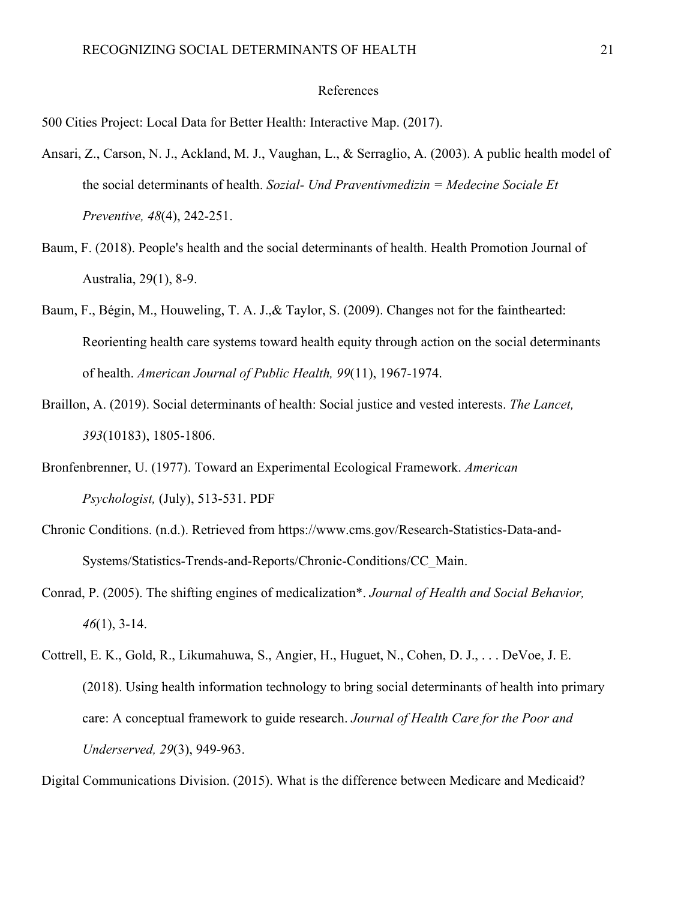### References

500 Cities Project: Local Data for Better Health: Interactive Map. (2017).

- Ansari, Z., Carson, N. J., Ackland, M. J., Vaughan, L., & Serraglio, A. (2003). A public health model of the social determinants of health. *Sozial- Und Praventivmedizin = Medecine Sociale Et Preventive, 48*(4), 242-251.
- Baum, F. (2018). People's health and the social determinants of health. Health Promotion Journal of Australia, 29(1), 8-9.
- Baum, F., Bégin, M., Houweling, T. A. J.,& Taylor, S. (2009). Changes not for the fainthearted: Reorienting health care systems toward health equity through action on the social determinants of health. *American Journal of Public Health, 99*(11), 1967-1974.
- Braillon, A. (2019). Social determinants of health: Social justice and vested interests. *The Lancet, 393*(10183), 1805-1806.
- Bronfenbrenner, U. (1977). Toward an Experimental Ecological Framework. *American Psychologist,* (July), 513-531. PDF
- Chronic Conditions. (n.d.). Retrieved from https://www.cms.gov/Research-Statistics-Data-and-Systems/Statistics-Trends-and-Reports/Chronic-Conditions/CC\_Main.
- Conrad, P. (2005). The shifting engines of medicalization\*. *Journal of Health and Social Behavior, 46*(1), 3-14.
- Cottrell, E. K., Gold, R., Likumahuwa, S., Angier, H., Huguet, N., Cohen, D. J., . . . DeVoe, J. E. (2018). Using health information technology to bring social determinants of health into primary care: A conceptual framework to guide research. *Journal of Health Care for the Poor and Underserved, 29*(3), 949-963.

Digital Communications Division. (2015). What is the difference between Medicare and Medicaid?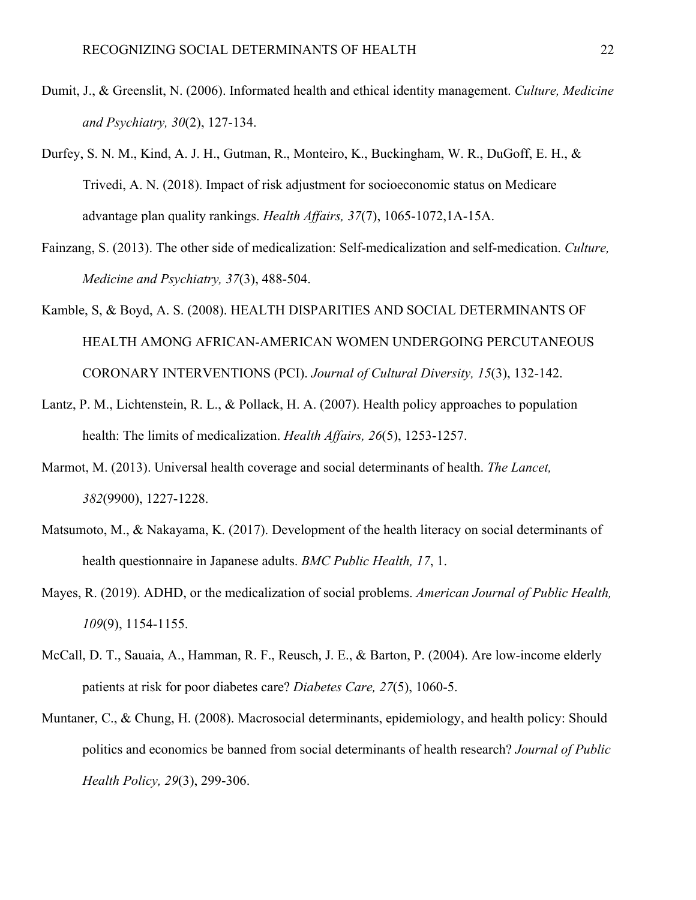- Dumit, J., & Greenslit, N. (2006). Informated health and ethical identity management. *Culture, Medicine and Psychiatry, 30*(2), 127-134.
- Durfey, S. N. M., Kind, A. J. H., Gutman, R., Monteiro, K., Buckingham, W. R., DuGoff, E. H., & Trivedi, A. N. (2018). Impact of risk adjustment for socioeconomic status on Medicare advantage plan quality rankings. *Health Affairs, 37*(7), 1065-1072,1A-15A.
- Fainzang, S. (2013). The other side of medicalization: Self-medicalization and self-medication. *Culture, Medicine and Psychiatry, 37*(3), 488-504.
- Kamble, S, & Boyd, A. S. (2008). HEALTH DISPARITIES AND SOCIAL DETERMINANTS OF HEALTH AMONG AFRICAN-AMERICAN WOMEN UNDERGOING PERCUTANEOUS CORONARY INTERVENTIONS (PCI). *Journal of Cultural Diversity, 15*(3), 132-142.
- Lantz, P. M., Lichtenstein, R. L., & Pollack, H. A. (2007). Health policy approaches to population health: The limits of medicalization. *Health Affairs, 26*(5), 1253-1257.
- Marmot, M. (2013). Universal health coverage and social determinants of health. *The Lancet, 382*(9900), 1227-1228.
- Matsumoto, M., & Nakayama, K. (2017). Development of the health literacy on social determinants of health questionnaire in Japanese adults. *BMC Public Health, 17*, 1.
- Mayes, R. (2019). ADHD, or the medicalization of social problems. *American Journal of Public Health, 109*(9), 1154-1155.
- McCall, D. T., Sauaia, A., Hamman, R. F., Reusch, J. E., & Barton, P. (2004). Are low-income elderly patients at risk for poor diabetes care? *Diabetes Care, 27*(5), 1060-5.
- Muntaner, C., & Chung, H. (2008). Macrosocial determinants, epidemiology, and health policy: Should politics and economics be banned from social determinants of health research? *Journal of Public Health Policy, 29*(3), 299-306.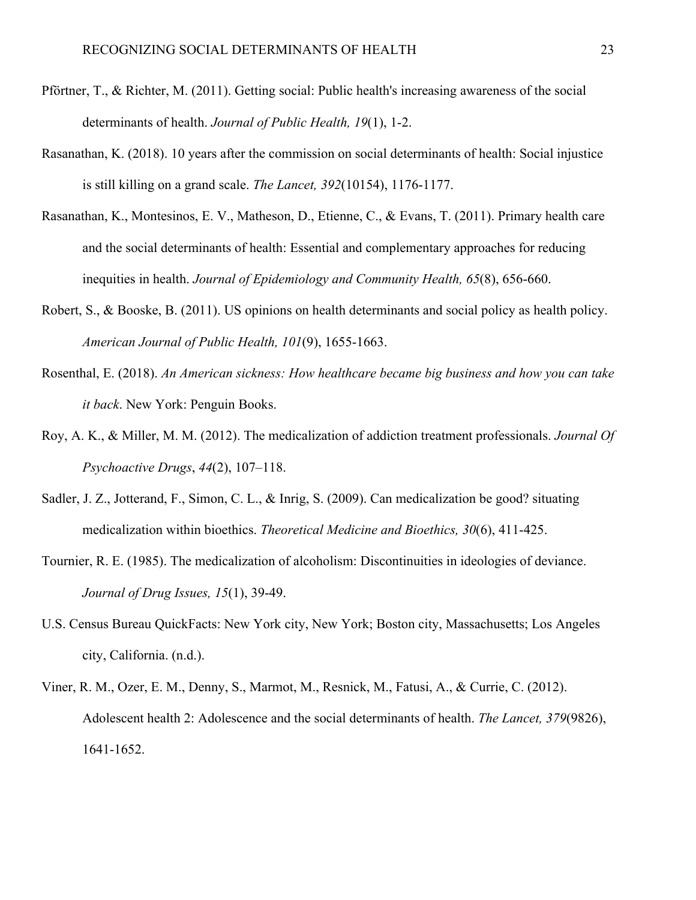- Pförtner, T., & Richter, M. (2011). Getting social: Public health's increasing awareness of the social determinants of health. *Journal of Public Health, 19*(1), 1-2.
- Rasanathan, K. (2018). 10 years after the commission on social determinants of health: Social injustice is still killing on a grand scale. *The Lancet, 392*(10154), 1176-1177.
- Rasanathan, K., Montesinos, E. V., Matheson, D., Etienne, C., & Evans, T. (2011). Primary health care and the social determinants of health: Essential and complementary approaches for reducing inequities in health. *Journal of Epidemiology and Community Health, 65*(8), 656-660.
- Robert, S., & Booske, B. (2011). US opinions on health determinants and social policy as health policy. *American Journal of Public Health, 101*(9), 1655-1663.
- Rosenthal, E. (2018). *An American sickness: How healthcare became big business and how you can take it back*. New York: Penguin Books.
- Roy, A. K., & Miller, M. M. (2012). The medicalization of addiction treatment professionals. *Journal Of Psychoactive Drugs*, *44*(2), 107–118.
- Sadler, J. Z., Jotterand, F., Simon, C. L., & Inrig, S. (2009). Can medicalization be good? situating medicalization within bioethics. *Theoretical Medicine and Bioethics, 30*(6), 411-425.
- Tournier, R. E. (1985). The medicalization of alcoholism: Discontinuities in ideologies of deviance. *Journal of Drug Issues, 15*(1), 39-49.
- U.S. Census Bureau QuickFacts: New York city, New York; Boston city, Massachusetts; Los Angeles city, California. (n.d.).
- Viner, R. M., Ozer, E. M., Denny, S., Marmot, M., Resnick, M., Fatusi, A., & Currie, C. (2012). Adolescent health 2: Adolescence and the social determinants of health. *The Lancet, 379*(9826), 1641-1652.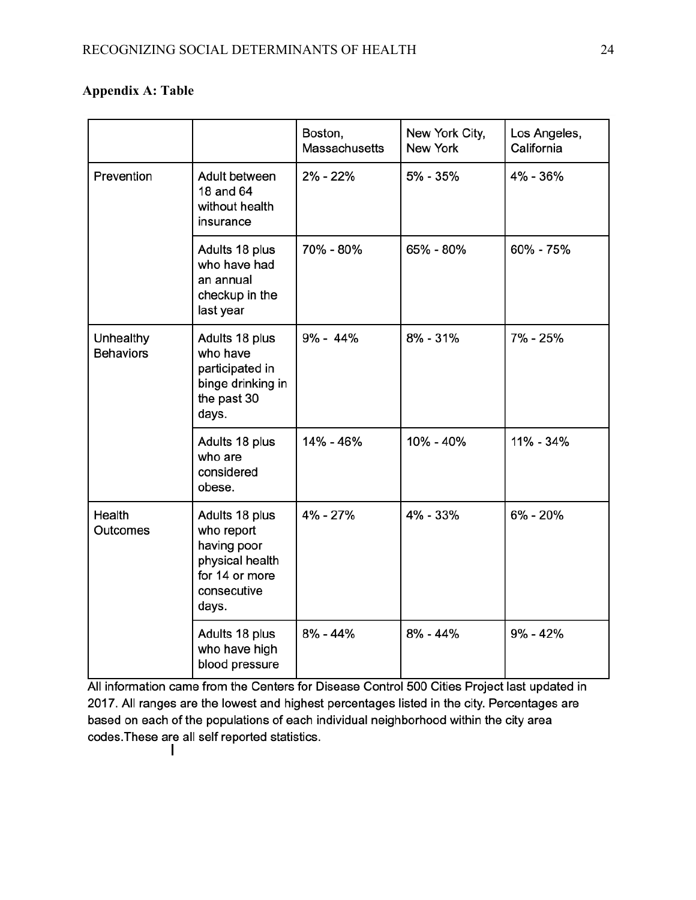## **Appendix A: Table**

|                               |                                                                                                          | Boston,<br><b>Massachusetts</b> | New York City,<br>New York | Los Angeles,<br>California |
|-------------------------------|----------------------------------------------------------------------------------------------------------|---------------------------------|----------------------------|----------------------------|
| Prevention                    | Adult between<br>18 and 64<br>without health<br>insurance                                                | 2% - 22%                        | 5% - 35%                   | 4% - 36%                   |
|                               | Adults 18 plus<br>who have had<br>an annual<br>checkup in the<br>last year                               | 70% - 80%                       | 65% - 80%                  | 60% - 75%                  |
| Unhealthy<br><b>Behaviors</b> | Adults 18 plus<br>who have<br>participated in<br>binge drinking in<br>the past 30<br>days.               | $9\% - 44\%$                    | $8\% - 31\%$               | 7% - 25%                   |
|                               | Adults 18 plus<br>who are<br>considered<br>obese.                                                        | 14% - 46%                       | 10% - 40%                  | 11% - 34%                  |
| Health<br><b>Outcomes</b>     | Adults 18 plus<br>who report<br>having poor<br>physical health<br>for 14 or more<br>consecutive<br>days. | 4% - 27%                        | 4% - 33%                   | 6% - 20%                   |
|                               | Adults 18 plus<br>who have high<br>blood pressure                                                        | $8\% - 44\%$                    | $8\% - 44\%$               | $9\% - 42\%$               |

All information came from the Centers for Disease Control 500 Cities Project last updated in 2017. All ranges are the lowest and highest percentages listed in the city. Percentages are based on each of the populations of each individual neighborhood within the city area codes. These are all self reported statistics.  $\mathbf{I}$